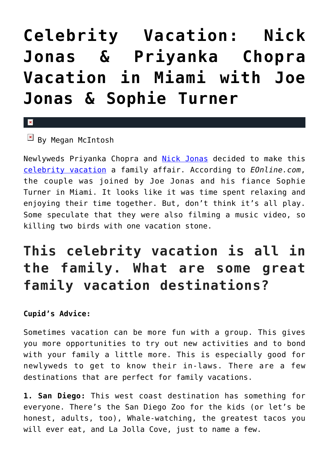# **[Celebrity Vacation: Nick](https://cupidspulse.com/129622/celebrity-vacation-nick-jonas-priyanka-chopra-vacation-miami-joe-jonas-sophie-turner/) [Jonas & Priyanka Chopra](https://cupidspulse.com/129622/celebrity-vacation-nick-jonas-priyanka-chopra-vacation-miami-joe-jonas-sophie-turner/) [Vacation in Miami with Joe](https://cupidspulse.com/129622/celebrity-vacation-nick-jonas-priyanka-chopra-vacation-miami-joe-jonas-sophie-turner/) [Jonas & Sophie Turner](https://cupidspulse.com/129622/celebrity-vacation-nick-jonas-priyanka-chopra-vacation-miami-joe-jonas-sophie-turner/)**

#### $\mathbf{\overline{x}}$

### $\boxed{\times}$  By Megan McIntosh

Newlyweds Priyanka Chopra and [Nick Jonas](http://cupidspulse.com/87716/nick-jonas/) decided to make this [celebrity vacation](http://cupidspulse.com/celebrity-news/celebrity-vacations/) a family affair. According to *EOnline.com*, the couple was joined by Joe Jonas and his fiance Sophie Turner in Miami. It looks like it was time spent relaxing and enjoying their time together. But, don't think it's all play. Some speculate that they were also filming a music video, so killing two birds with one vacation stone.

## **This celebrity vacation is all in the family. What are some great family vacation destinations?**

#### **Cupid's Advice:**

Sometimes vacation can be more fun with a group. This gives you more opportunities to try out new activities and to bond with your family a little more. This is especially good for newlyweds to get to know their in-laws. There are a few destinations that are perfect for family vacations.

**1. San Diego:** This west coast destination has something for everyone. There's the San Diego Zoo for the kids (or let's be honest, adults, too), Whale-watching, the greatest tacos you will ever eat, and La Jolla Cove, just to name a few.